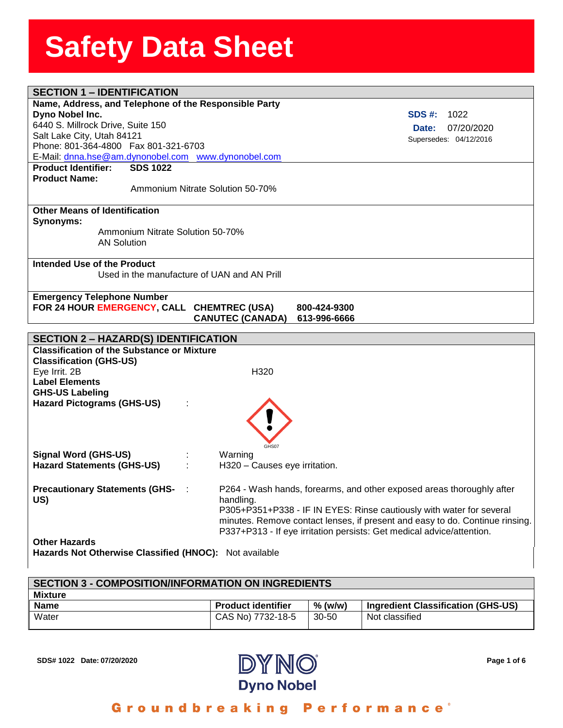| <b>SECTION 1 - IDENTIFICATION</b>                      |                                                                              |
|--------------------------------------------------------|------------------------------------------------------------------------------|
| Name, Address, and Telephone of the Responsible Party  |                                                                              |
| Dyno Nobel Inc.                                        | SDS #:<br>1022                                                               |
| 6440 S. Millrock Drive, Suite 150                      | 07/20/2020<br>Date:                                                          |
| Salt Lake City, Utah 84121                             | Supersedes: 04/12/2016                                                       |
| Phone: 801-364-4800  Fax 801-321-6703                  |                                                                              |
| E-Mail: dnna.hse@am.dynonobel.com www.dynonobel.com    |                                                                              |
| <b>Product Identifier:</b><br><b>SDS 1022</b>          |                                                                              |
| <b>Product Name:</b>                                   |                                                                              |
| Ammonium Nitrate Solution 50-70%                       |                                                                              |
| <b>Other Means of Identification</b>                   |                                                                              |
| Synonyms:                                              |                                                                              |
| Ammonium Nitrate Solution 50-70%                       |                                                                              |
| <b>AN Solution</b>                                     |                                                                              |
|                                                        |                                                                              |
| Intended Use of the Product                            |                                                                              |
| Used in the manufacture of UAN and AN Prill            |                                                                              |
|                                                        |                                                                              |
| <b>Emergency Telephone Number</b>                      |                                                                              |
| FOR 24 HOUR EMERGENCY, CALL CHEMTREC (USA)             | 800-424-9300                                                                 |
|                                                        | <b>CANUTEC (CANADA)</b><br>613-996-6666                                      |
|                                                        |                                                                              |
|                                                        |                                                                              |
| <b>SECTION 2 - HAZARD(S) IDENTIFICATION</b>            |                                                                              |
| <b>Classification of the Substance or Mixture</b>      |                                                                              |
| <b>Classification (GHS-US)</b>                         |                                                                              |
| Eye Irrit. 2B                                          | H320                                                                         |
| <b>Label Elements</b>                                  |                                                                              |
| <b>GHS-US Labeling</b>                                 |                                                                              |
| <b>Hazard Pictograms (GHS-US)</b>                      |                                                                              |
|                                                        |                                                                              |
|                                                        |                                                                              |
|                                                        | GHS07                                                                        |
| <b>Signal Word (GHS-US)</b>                            | Warning                                                                      |
| <b>Hazard Statements (GHS-US)</b>                      | H320 - Causes eye irritation.                                                |
|                                                        |                                                                              |
| <b>Precautionary Statements (GHS-</b>                  | P264 - Wash hands, forearms, and other exposed areas thoroughly after        |
| US)                                                    | handling.                                                                    |
|                                                        | P305+P351+P338 - IF IN EYES: Rinse cautiously with water for several         |
|                                                        | minutes. Remove contact lenses, if present and easy to do. Continue rinsing. |
|                                                        | P337+P313 - If eye irritation persists: Get medical advice/attention.        |
| <b>Other Hazards</b>                                   |                                                                              |
| Hazards Not Otherwise Classified (HNOC): Not available |                                                                              |

# **SECTION 3 - COMPOSITION/INFORMATION ON INGREDIENTS Mixture**

| <b>Name</b> | <b>Product identifier</b> | % (w/w) | Ingredient Classification (GHS-US) |
|-------------|---------------------------|---------|------------------------------------|
| Water       | CAS No) 7732-18-5         | 30-50   | Not classified                     |



Groundbreaking Performance®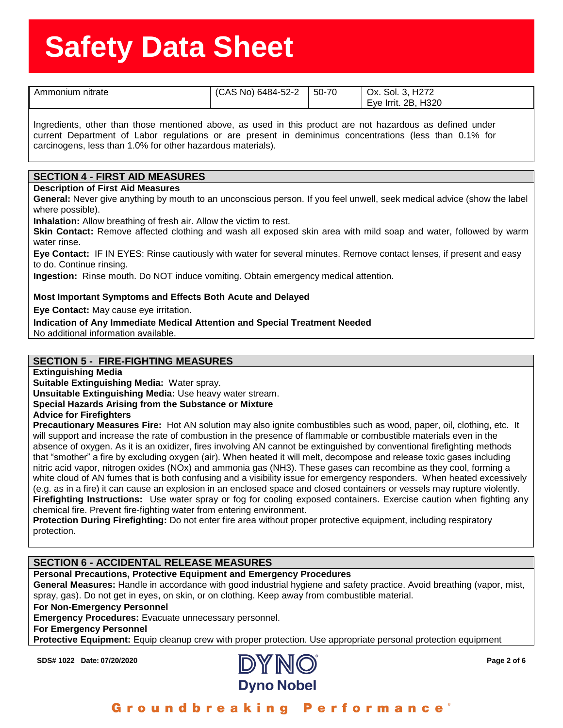| nitrate<br>Ammonium | (CAS No) 6484-52-2 | 50-70 | H <sub>272</sub><br>Sol. 3.<br>Ox.<br>H320<br>Eye Irrit. 2B, |
|---------------------|--------------------|-------|--------------------------------------------------------------|

**eeSheet** Ingredients, other than those mentioned above, as used in this product are not hazardous as defined under current Department of Labor regulations or are present in deminimus concentrations (less than 0.1% for carcinogens, less than 1.0% for other hazardous materials).

#### **SECTION 4 - FIRST AID MEASURES**

#### **Description of First Aid Measures**

**General:** Never give anything by mouth to an unconscious person. If you feel unwell, seek medical advice (show the label where possible).

**Inhalation:** Allow breathing of fresh air. Allow the victim to rest.

**Skin Contact:** Remove affected clothing and wash all exposed skin area with mild soap and water, followed by warm water rinse.

**Eye Contact:** IF IN EYES: Rinse cautiously with water for several minutes. Remove contact lenses, if present and easy to do. Continue rinsing.

**Ingestion:** Rinse mouth. Do NOT induce vomiting. Obtain emergency medical attention.

#### **Most Important Symptoms and Effects Both Acute and Delayed**

**Eye Contact:** May cause eye irritation.

**Indication of Any Immediate Medical Attention and Special Treatment Needed**

No additional information available.

#### **SECTION 5 - FIRE-FIGHTING MEASURES**

**Extinguishing Media**

**Suitable Extinguishing Media:** Water spray.

**Unsuitable Extinguishing Media:** Use heavy water stream.

### **Special Hazards Arising from the Substance or Mixture**

**Advice for Firefighters**

**Precautionary Measures Fire:** Hot AN solution may also ignite combustibles such as wood, paper, oil, clothing, etc. It will support and increase the rate of combustion in the presence of flammable or combustible materials even in the absence of oxygen. As it is an oxidizer, fires involving AN cannot be extinguished by conventional firefighting methods that "smother" a fire by excluding oxygen (air). When heated it will melt, decompose and release toxic gases including nitric acid vapor, nitrogen oxides (NOx) and ammonia gas (NH3). These gases can recombine as they cool, forming a white cloud of AN fumes that is both confusing and a visibility issue for emergency responders. When heated excessively (e.g. as in a fire) it can cause an explosion in an enclosed space and closed containers or vessels may rupture violently. **Firefighting Instructions:** Use water spray or fog for cooling exposed containers. Exercise caution when fighting any chemical fire. Prevent fire-fighting water from entering environment.

**Protection During Firefighting:** Do not enter fire area without proper protective equipment, including respiratory protection.

#### **SECTION 6 - ACCIDENTAL RELEASE MEASURES**

**Personal Precautions, Protective Equipment and Emergency Procedures**

**General Measures:** Handle in accordance with good industrial hygiene and safety practice. Avoid breathing (vapor, mist, spray, gas). Do not get in eyes, on skin, or on clothing. Keep away from combustible material.

**For Non-Emergency Personnel**

**Emergency Procedures:** Evacuate unnecessary personnel.

#### **For Emergency Personnel**

**Protective Equipment:** Equip cleanup crew with proper protection. Use appropriate personal protection equipment

**SDS# 1022 Date: 07/20/2020 Page 2 of 6**

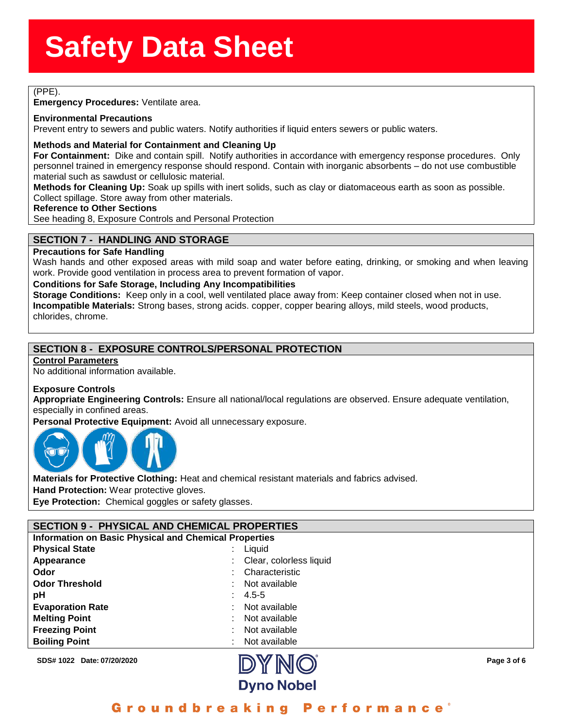assessed and the state of the state of the state of the state of the state of the state of the state of the state of the state of the state of the state of the state of the state of the state of the state of the state of t (PPE).

**Emergency Procedures:** Ventilate area.

# **Emergency Procedures:** Ven<br>**Environmental Precautions**<br>Prevent entry to sewers and pr

Prevent entry to sewers and public waters. Notify authorities if liquid enters sewers or public waters.

#### **Methods and Material for Containment and Cleaning Up**

**For Containment:** Dike and contain spill. Notify authorities in accordance with emergency response procedures. Only personnel trained in emergency response should respond. Contain with inorganic absorbents – do not use combustible material such as sawdust or cellulosic material.

**Methods for Cleaning Up:** Soak up spills with inert solids, such as clay or diatomaceous earth as soon as possible. Collect spillage. Store away from other materials.

#### **Reference to Other Sections**

See heading 8, Exposure Controls and Personal Protection

### **SECTION 7 - HANDLING AND STORAGE**

#### **Precautions for Safe Handling**

Wash hands and other exposed areas with mild soap and water before eating, drinking, or smoking and when leaving work. Provide good ventilation in process area to prevent formation of vapor.

#### **Conditions for Safe Storage, Including Any Incompatibilities**

**Storage Conditions:** Keep only in a cool, well ventilated place away from: Keep container closed when not in use. **Incompatible Materials:** Strong bases, strong acids. copper, copper bearing alloys, mild steels, wood products, chlorides, chrome.

### **SECTION 8 - EXPOSURE CONTROLS/PERSONAL PROTECTION**

#### **Control Parameters**

No additional information available.

#### **Exposure Controls**

**Appropriate Engineering Controls:** Ensure all national/local regulations are observed. Ensure adequate ventilation, especially in confined areas.

**Personal Protective Equipment:** Avoid all unnecessary exposure.



**Materials for Protective Clothing:** Heat and chemical resistant materials and fabrics advised.

**Hand Protection:** Wear protective gloves.

**Eye Protection:** Chemical goggles or safety glasses.

#### **SECTION 9 - PHYSICAL AND CHEMICAL PROPERTIES Information on Basic Physical and Chemical Properties**

| <b>Physical State</b>   | Liquid<br>÷                   |
|-------------------------|-------------------------------|
| Appearance              | Clear, colorless liquid<br>t. |
| Odor                    | Characteristic<br>t.          |
| <b>Odor Threshold</b>   | Not available<br>÷            |
| рH                      | $4.5 - 5$                     |
| <b>Evaporation Rate</b> | Not available<br>t.           |
| <b>Melting Point</b>    | Not available                 |
| <b>Freezing Point</b>   | Not available                 |
| <b>Boiling Point</b>    | Not available<br>÷            |

**SDS# 1022 Date: 07/20/2020 Page 3 of 6**



## Groundbreaking Performance'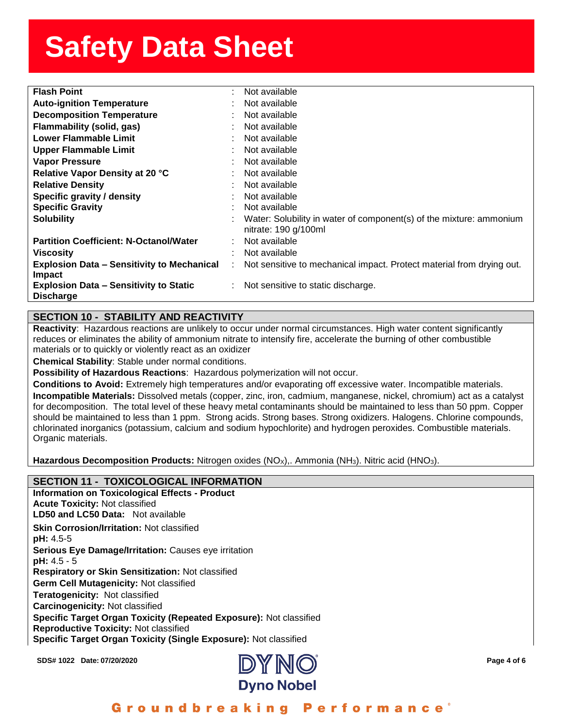| <b>Flash Point</b>                                | ۰. | Not available                                                         |
|---------------------------------------------------|----|-----------------------------------------------------------------------|
| <b>Auto-ignition Temperature</b>                  |    | Not available                                                         |
| <b>Decomposition Temperature</b>                  |    | Not available                                                         |
| Flammability (solid, gas)                         |    | Not available                                                         |
| <b>Lower Flammable Limit</b>                      |    | Not available                                                         |
| <b>Upper Flammable Limit</b>                      |    | Not available                                                         |
| <b>Vapor Pressure</b>                             |    | Not available                                                         |
| Relative Vapor Density at 20 °C                   |    | Not available                                                         |
| <b>Relative Density</b>                           |    | Not available                                                         |
| Specific gravity / density                        |    | Not available                                                         |
| <b>Specific Gravity</b>                           |    | Not available                                                         |
| <b>Solubility</b>                                 |    | Water: Solubility in water of component(s) of the mixture: ammonium   |
|                                                   |    | nitrate: $190$ g/ $100$ ml                                            |
| <b>Partition Coefficient: N-Octanol/Water</b>     |    | Not available                                                         |
| <b>Viscosity</b>                                  |    | Not available                                                         |
| <b>Explosion Data - Sensitivity to Mechanical</b> | ÷  | Not sensitive to mechanical impact. Protect material from drying out. |
| <b>Impact</b>                                     |    |                                                                       |
| <b>Explosion Data - Sensitivity to Static</b>     |    | $\therefore$ Not sensitive to static discharge.                       |
| <b>Discharge</b>                                  |    |                                                                       |

## **SECTION 10 - STABILITY AND REACTIVITY**

**Reactivity**: Hazardous reactions are unlikely to occur under normal circumstances. High water content significantly reduces or eliminates the ability of ammonium nitrate to intensify fire, accelerate the burning of other combustible materials or to quickly or violently react as an oxidizer

**Chemical Stability**: Stable under normal conditions.

**Possibility of Hazardous Reactions**: Hazardous polymerization will not occur.

**Conditions to Avoid:** Extremely high temperatures and/or evaporating off excessive water. Incompatible materials. **Incompatible Materials:** Dissolved metals (copper, zinc, iron, cadmium, manganese, nickel, chromium) act as a catalyst for decomposition. The total level of these heavy metal contaminants should be maintained to less than 50 ppm. Copper should be maintained to less than 1 ppm. Strong acids. Strong bases. Strong oxidizers. Halogens. Chlorine compounds, chlorinated inorganics (potassium, calcium and sodium hypochlorite) and hydrogen peroxides. Combustible materials. Organic materials.

**Hazardous Decomposition Products:** Nitrogen oxides (NO<sub>x</sub>),. Ammonia (NH<sub>3</sub>). Nitric acid (HNO<sub>3</sub>).

#### **SECTION 11 - TOXICOLOGICAL INFORMATION Information on Toxicological Effects - Product**

**Acute Toxicity:** Not classified **LD50 and LC50 Data:** Not available**Skin Corrosion/Irritation:** Not classified **pH:** 4.5-5 **Serious Eye Damage/Irritation:** Causes eye irritation **pH:** 4.5 - 5 **Respiratory or Skin Sensitization:** Not classified **Germ Cell Mutagenicity:** Not classified**Teratogenicity:** Not classified**Carcinogenicity:** Not classified **Specific Target Organ Toxicity (Repeated Exposure):** Not classified **Reproductive Toxicity:** Not classified **Specific Target Organ Toxicity (Single Exposure):** Not classified

**SDS# 1022 Date: 07/20/2020 Page 4 of 6**



Groundbreaking **Performance**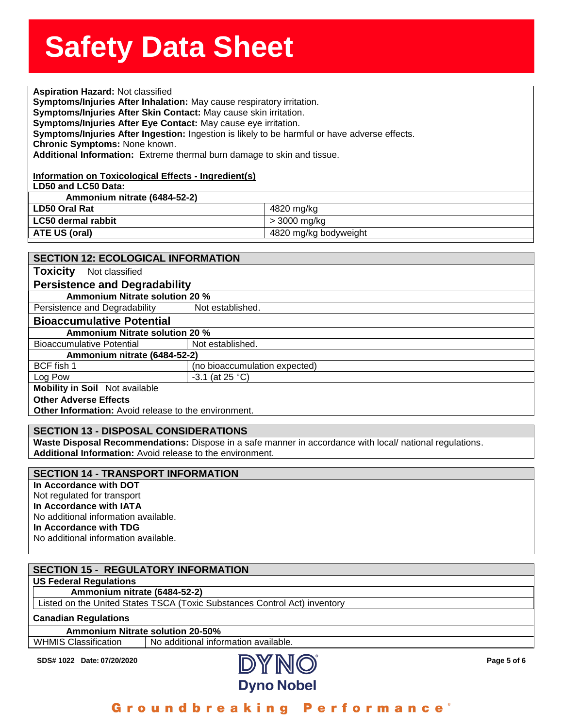**Solution State State State State State State State State State State State State State State State State State**<br><br>Aspiration Hazard: Not classified **Symptoms/injuries After Innalation:** May cause respiratory irritation.<br>**Symptoms/Injuries After Skin Contact:** May cause skin irritation.<br>**Symptoms/Injuries After Eye Contact:** May cause eye irritation. **Symptoms/Injuries After Inhalation:** May cause respiratory irritation. **Symptoms/Injuries After Eye Contact:** May cause eye irritation. **Symptoms/Injuries After Ingestion:** Ingestion is likely to be harmful or have adverse effects. **Chronic Symptoms:** None known. **Additional Information:** Extreme thermal burn damage to skin and tissue.

#### **Information on Toxicological Effects - Ingredient(s)**

**LD50 and LC50 Data:**

**Ammonium nitrate (6484-52-2)**

| LD50 Oral Rat      | 4820 mg/kg            |
|--------------------|-----------------------|
| LC50 dermal rabbit | > 3000 mg/kg          |
| ATE US (oral)      | 4820 mg/kg bodyweight |
|                    |                       |

| <b>SECTION 12: ECOLOGICAL INFORMATION</b>                   |                                |  |  |  |
|-------------------------------------------------------------|--------------------------------|--|--|--|
| <b>Toxicity</b><br>Not classified                           |                                |  |  |  |
| <b>Persistence and Degradability</b>                        |                                |  |  |  |
| <b>Ammonium Nitrate solution 20 %</b>                       |                                |  |  |  |
| Persistence and Degradability                               | Not established.               |  |  |  |
| <b>Bioaccumulative Potential</b>                            |                                |  |  |  |
|                                                             | Ammonium Nitrate solution 20 % |  |  |  |
| <b>Bioaccumulative Potential</b>                            | Not established.               |  |  |  |
| Ammonium nitrate (6484-52-2)                                |                                |  |  |  |
| BCF fish 1                                                  | (no bioaccumulation expected)  |  |  |  |
| Log Pow                                                     | $-3.1$ (at 25 °C)              |  |  |  |
| <b>Mobility in Soil</b> Not available                       |                                |  |  |  |
| <b>Other Adverse Effects</b>                                |                                |  |  |  |
| <b>Other Information:</b> Avoid release to the environment. |                                |  |  |  |

#### **SECTION 13 - DISPOSAL CONSIDERATIONS**

**Waste Disposal Recommendations:** Dispose in a safe manner in accordance with local/ national regulations. **Additional Information:** Avoid release to the environment.

#### **SECTION 14 - TRANSPORT INFORMATION**

**In Accordance with DOT** Not regulated for transport **In Accordance with IATA** No additional information available. **In Accordance with TDG**  No additional information available.

|                                                                           | <b>SECTION 15 - REGULATORY INFORMATION</b> |  |  |  |
|---------------------------------------------------------------------------|--------------------------------------------|--|--|--|
|                                                                           |                                            |  |  |  |
| <b>US Federal Regulations</b>                                             |                                            |  |  |  |
| Ammonium nitrate (6484-52-2)                                              |                                            |  |  |  |
| Listed on the United States TSCA (Toxic Substances Control Act) inventory |                                            |  |  |  |
| <b>Canadian Regulations</b>                                               |                                            |  |  |  |
| <b>Ammonium Nitrate solution 20-50%</b>                                   |                                            |  |  |  |
| <b>WHMIS Classification</b>                                               | No additional information available.       |  |  |  |



# Groundbreaking Performance'